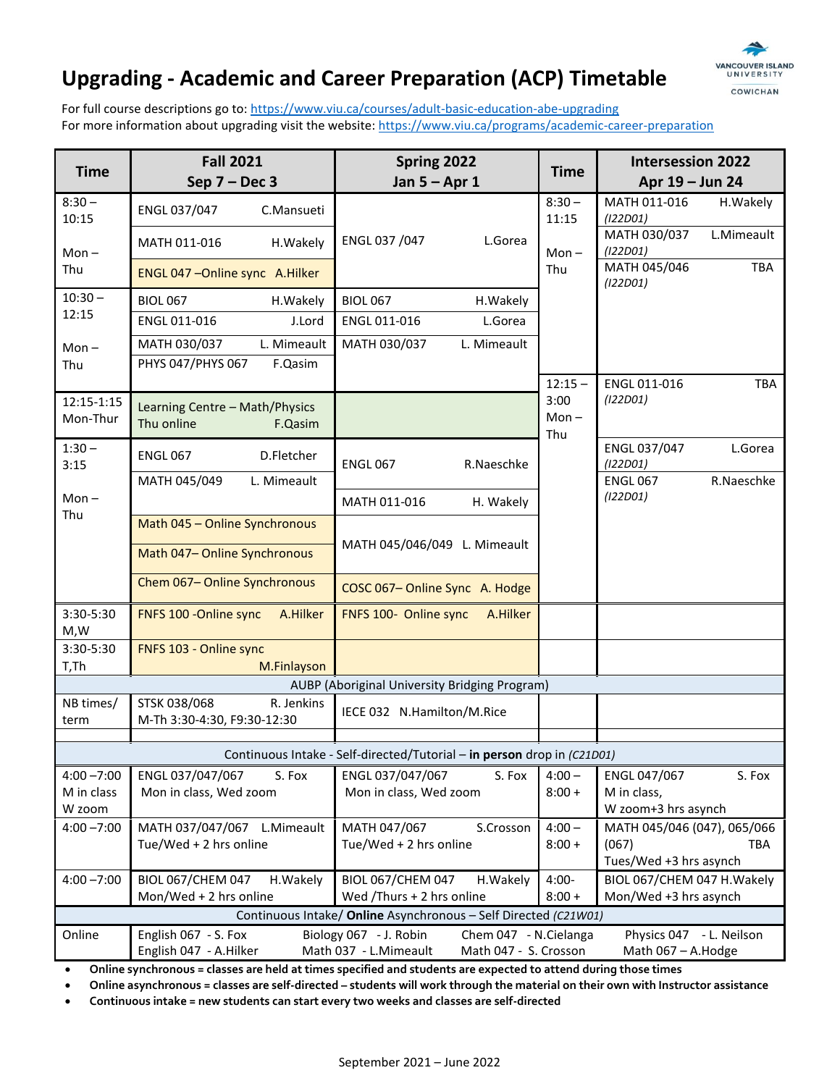# **Upgrading - Academic and Career Preparation (ACP) Timetable**



For full course descriptions go to[: https://www.viu.ca/courses/adult-basic-education-abe-upgrading](https://www.viu.ca/courses/adult-basic-education-abe-upgrading) For more information about upgrading visit the website:<https://www.viu.ca/programs/academic-career-preparation>

| <b>Time</b>                                                             | <b>Fall 2021</b><br>Sep $7 - Dec 3$                                                                                                                                                                   | Spring 2022<br>Jan $5 -$ Apr 1                      | <b>Time</b>          | <b>Intersession 2022</b><br>Apr 19 - Jun 24           |
|-------------------------------------------------------------------------|-------------------------------------------------------------------------------------------------------------------------------------------------------------------------------------------------------|-----------------------------------------------------|----------------------|-------------------------------------------------------|
| $8:30 -$<br>10:15                                                       | ENGL 037/047<br>C.Mansueti                                                                                                                                                                            |                                                     | $8:30 -$<br>11:15    | MATH 011-016<br>H.Wakely<br>(122D01)                  |
| $Mon -$                                                                 | MATH 011-016<br>H.Wakely                                                                                                                                                                              | ENGL 037 /047<br>L.Gorea                            | $Mon -$              | MATH 030/037<br>L.Mimeault<br>(122D01)                |
| Thu                                                                     | ENGL 047 - Online sync A. Hilker                                                                                                                                                                      |                                                     | Thu                  | MATH 045/046<br>TBA<br>(122D01)                       |
| $10:30 -$                                                               | <b>BIOL 067</b><br>H.Wakely                                                                                                                                                                           | <b>BIOL 067</b><br>H.Wakely                         |                      |                                                       |
| 12:15                                                                   | ENGL 011-016<br>J.Lord                                                                                                                                                                                | ENGL 011-016<br>L.Gorea                             |                      |                                                       |
| $Mon -$                                                                 | MATH 030/037<br>L. Mimeault                                                                                                                                                                           | MATH 030/037<br>L. Mimeault                         |                      |                                                       |
| Thu                                                                     | PHYS 047/PHYS 067<br>F.Qasim                                                                                                                                                                          |                                                     |                      |                                                       |
| 12:15-1:15                                                              |                                                                                                                                                                                                       |                                                     | $12:15 -$<br>3:00    | ENGL 011-016<br><b>TBA</b><br>(122D01)                |
| Mon-Thur                                                                | Learning Centre - Math/Physics<br>Thu online<br>F.Qasim                                                                                                                                               |                                                     | $Mon -$<br>Thu       |                                                       |
| $1:30 -$                                                                | <b>ENGL 067</b><br>D.Fletcher                                                                                                                                                                         |                                                     |                      | ENGL 037/047<br>L.Gorea                               |
| 3:15                                                                    | MATH 045/049<br>L. Mimeault                                                                                                                                                                           | <b>ENGL 067</b><br>R.Naeschke                       |                      | (122D01)<br>R.Naeschke<br><b>ENGL 067</b>             |
| $Mon -$                                                                 |                                                                                                                                                                                                       | MATH 011-016<br>H. Wakely                           |                      | (122D01)                                              |
| Thu                                                                     | Math 045 - Online Synchronous                                                                                                                                                                         |                                                     |                      |                                                       |
|                                                                         | Math 047- Online Synchronous                                                                                                                                                                          | MATH 045/046/049 L. Mimeault                        |                      |                                                       |
|                                                                         | Chem 067-Online Synchronous                                                                                                                                                                           | COSC 067-Online Sync A. Hodge                       |                      |                                                       |
| 3:30-5:30<br>M,W                                                        | FNFS 100 - Online sync<br>A.Hilker                                                                                                                                                                    | FNFS 100- Online sync<br>A.Hilker                   |                      |                                                       |
| 3:30-5:30                                                               | FNFS 103 - Online sync                                                                                                                                                                                |                                                     |                      |                                                       |
| T,Th                                                                    | M.Finlayson                                                                                                                                                                                           |                                                     |                      |                                                       |
| NB times/                                                               | STSK 038/068<br>R. Jenkins                                                                                                                                                                            | AUBP (Aboriginal University Bridging Program)       |                      |                                                       |
| term                                                                    | M-Th 3:30-4:30, F9:30-12:30                                                                                                                                                                           | IECE 032 N.Hamilton/M.Rice                          |                      |                                                       |
| Continuous Intake - Self-directed/Tutorial - in person drop in (C21D01) |                                                                                                                                                                                                       |                                                     |                      |                                                       |
| $4:00 - 7:00$                                                           | ENGL 037/047/067<br>S. Fox                                                                                                                                                                            | ENGL 037/047/067<br>S. Fox                          | $4:00 -$             | ENGL 047/067<br>S. Fox                                |
| M in class                                                              | Mon in class, Wed zoom                                                                                                                                                                                | Mon in class, Wed zoom                              | $8:00 +$             | M in class,                                           |
| W zoom                                                                  |                                                                                                                                                                                                       |                                                     |                      | W zoom+3 hrs asynch                                   |
| $4:00 - 7:00$                                                           | MATH 037/047/067 L.Mimeault<br>Tue/Wed + 2 hrs online                                                                                                                                                 | MATH 047/067<br>S.Crosson<br>Tue/Wed + 2 hrs online | $4:00 -$<br>$8:00 +$ | MATH 045/046 (047), 065/066<br>(067)<br><b>TBA</b>    |
| $4:00 - 7:00$                                                           | <b>BIOL 067/CHEM 047</b><br>H.Wakely                                                                                                                                                                  | <b>BIOL 067/CHEM 047</b><br>H.Wakely                | $4:00 -$             | Tues/Wed +3 hrs asynch<br>BIOL 067/CHEM 047 H. Wakely |
|                                                                         | Mon/Wed + 2 hrs online                                                                                                                                                                                | Wed /Thurs + 2 hrs online                           | $8:00 +$             | Mon/Wed +3 hrs asynch                                 |
| Continuous Intake/ Online Asynchronous - Self Directed (C21W01)         |                                                                                                                                                                                                       |                                                     |                      |                                                       |
| Online                                                                  | English 067 - S. Fox<br>Biology 067 - J. Robin<br>Chem 047 - N.Cielanga<br>Physics 047 - L. Neilson<br>Math 037 - L.Mimeault<br>Math 047 - S. Crosson<br>English 047 - A.Hilker<br>Math 067 - A.Hodge |                                                     |                      |                                                       |

• **Online synchronous = classes are held at times specified and students are expected to attend during those times**

• **Online asynchronous = classes are self-directed – students will work through the material on their own with Instructor assistance**

• **Continuous intake = new students can start every two weeks and classes are self-directed**